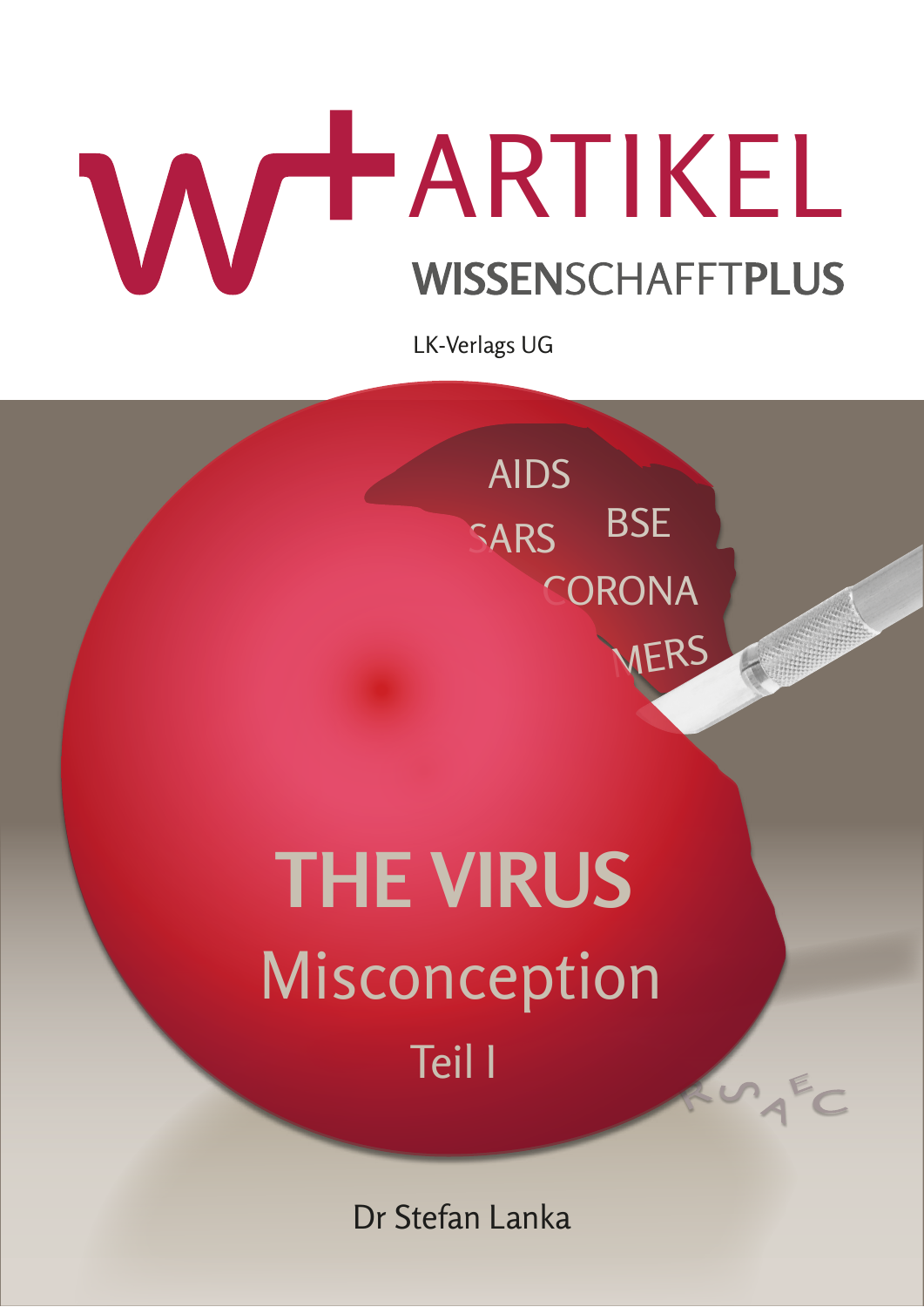# WARTIKEL **WISSENSCHAFFTPLUS**

LK-Verlags UG

AIDS SARS BSE MERS **CORONA** 

## **The Virus Misconception** Teil I

Dr Stefan Lanka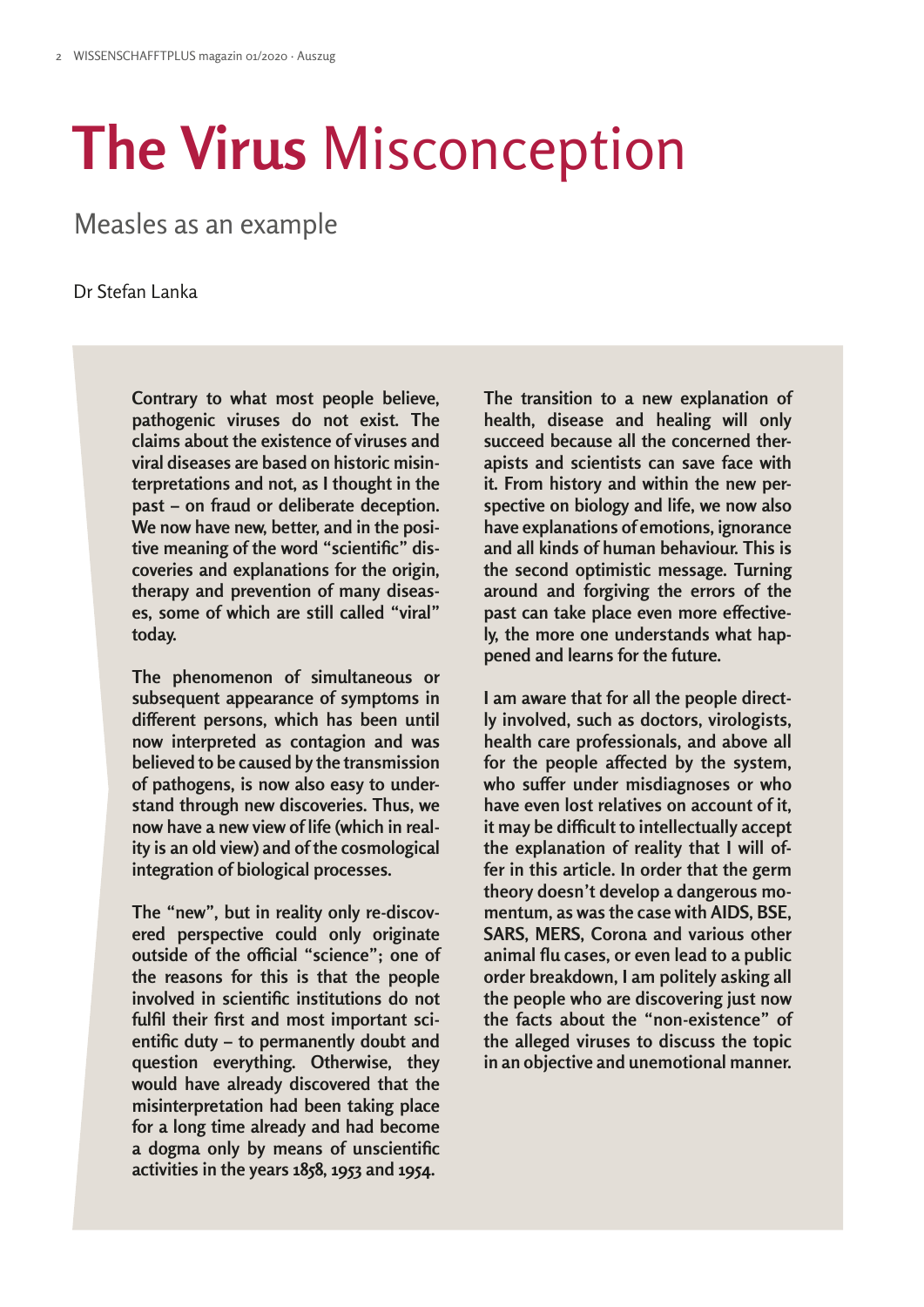## **The Virus** Misconception

Measles as an example

Dr Stefan Lanka

**Contrary to what most people believe, pathogenic viruses do not exist. The claims about the existence of viruses and viral diseases are based on historic misinterpretations and not, as I thought in the past – on fraud or deliberate deception. We now have new, better, and in the positive meaning of the word "scientific" discoveries and explanations for the origin, therapy and prevention of many diseases, some of which are still called "viral" today.**

**The phenomenon of simultaneous or subsequent appearance of symptoms in different persons, which has been until now interpreted as contagion and was believed to be caused by the transmission of pathogens, is now also easy to understand through new discoveries. Thus, we now have a new view of life (which in reality is an old view) and of the cosmological integration of biological processes.** 

**The "new", but in reality only re-discovered perspective could only originate outside of the official "science"; one of the reasons for this is that the people involved in scientific institutions do not fulfil their first and most important scientific duty – to permanently doubt and question everything. Otherwise, they would have already discovered that the misinterpretation had been taking place for a long time already and had become a dogma only by means of unscientific activities in the years 1858, 1953 and 1954.**

**The transition to a new explanation of health, disease and healing will only succeed because all the concerned therapists and scientists can save face with it. From history and within the new perspective on biology and life, we now also have explanations of emotions, ignorance and all kinds of human behaviour. This is the second optimistic message. Turning around and forgiving the errors of the past can take place even more effectively, the more one understands what happened and learns for the future.**

**I am aware that for all the people directly involved, such as doctors, virologists, health care professionals, and above all for the people affected by the system, who suffer under misdiagnoses or who have even lost relatives on account of it, it may be difficult to intellectually accept the explanation of reality that I will offer in this article. In order that the germ theory doesn't develop a dangerous momentum, as was the case with AIDS, BSE, SARS, MERS, Corona and various other animal flu cases, or even lead to a public order breakdown, I am politely asking all the people who are discovering just now the facts about the "non-existence" of the alleged viruses to discuss the topic in an objective and unemotional manner.**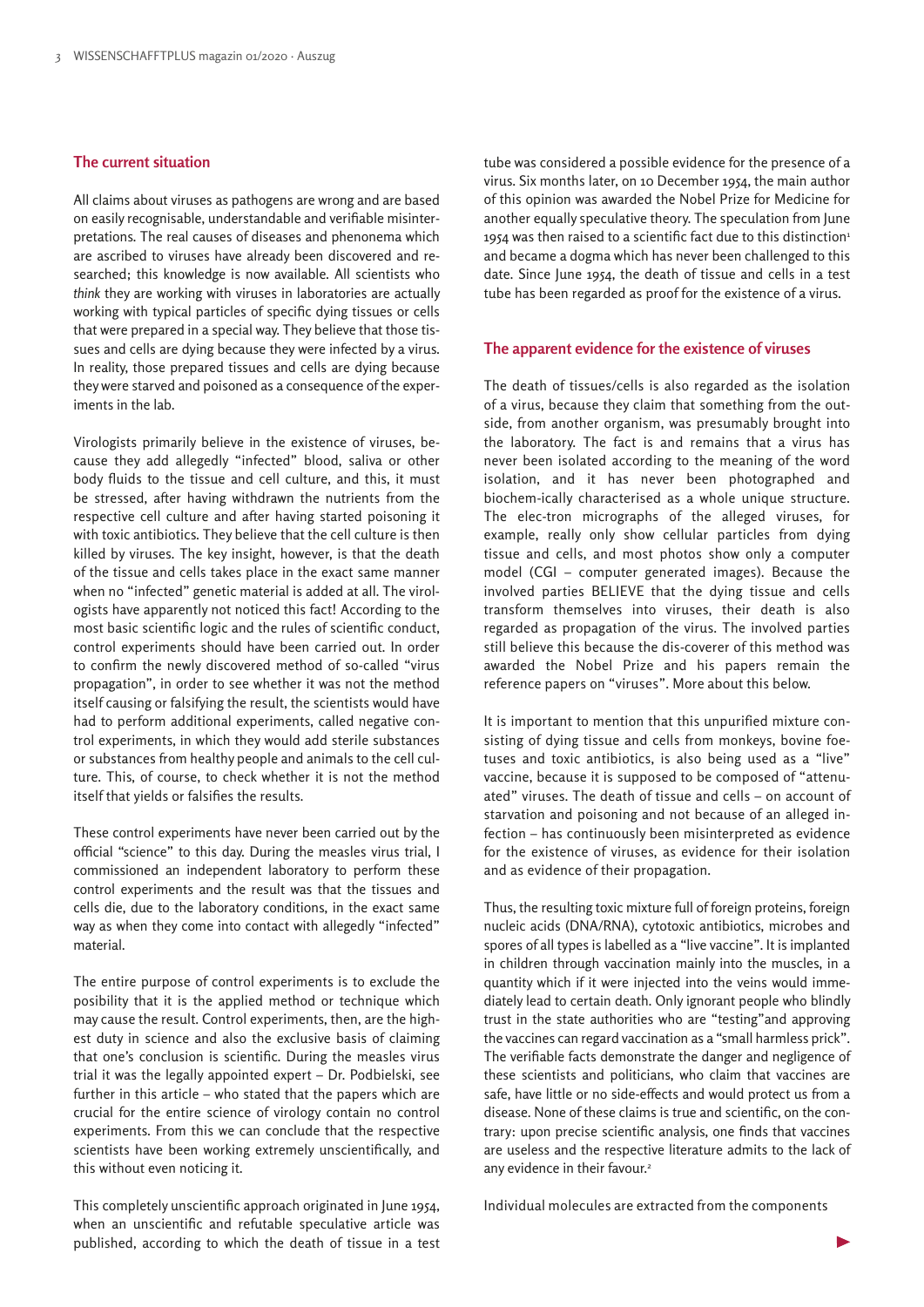#### **The current situation**

All claims about viruses as pathogens are wrong and are based on easily recognisable, understandable and verifiable misinterpretations. The real causes of diseases and phenonema which are ascribed to viruses have already been discovered and researched; this knowledge is now available. All scientists who *think* they are working with viruses in laboratories are actually working with typical particles of specific dying tissues or cells that were prepared in a special way. They believe that those tissues and cells are dying because they were infected by a virus. In reality, those prepared tissues and cells are dying because they were starved and poisoned as a consequence of the experiments in the lab.

Virologists primarily believe in the existence of viruses, because they add allegedly "infected" blood, saliva or other body fluids to the tissue and cell culture, and this, it must be stressed, after having withdrawn the nutrients from the respective cell culture and after having started poisoning it with toxic antibiotics. They believe that the cell culture is then killed by viruses. The key insight, however, is that the death of the tissue and cells takes place in the exact same manner when no "infected" genetic material is added at all. The virologists have apparently not noticed this fact! According to the most basic scientific logic and the rules of scientific conduct, control experiments should have been carried out. In order to confirm the newly discovered method of so-called "virus propagation", in order to see whether it was not the method itself causing or falsifying the result, the scientists would have had to perform additional experiments, called negative control experiments, in which they would add sterile substances or substances from healthy people and animals to the cell culture. This, of course, to check whether it is not the method itself that yields or falsifies the results.

These control experiments have never been carried out by the official "science" to this day. During the measles virus trial, I commissioned an independent laboratory to perform these control experiments and the result was that the tissues and cells die, due to the laboratory conditions, in the exact same way as when they come into contact with allegedly "infected" material.

The entire purpose of control experiments is to exclude the posibility that it is the applied method or technique which may cause the result. Control experiments, then, are the highest duty in science and also the exclusive basis of claiming that one's conclusion is scientific. During the measles virus trial it was the legally appointed expert – Dr. Podbielski, see further in this article – who stated that the papers which are crucial for the entire science of virology contain no control experiments. From this we can conclude that the respective scientists have been working extremely unscientifically, and this without even noticing it.

This completely unscientific approach originated in June 1954, when an unscientific and refutable speculative article was published, according to which the death of tissue in a test tube was considered a possible evidence for the presence of a virus. Six months later, on 10 December 1954, the main author of this opinion was awarded the Nobel Prize for Medicine for another equally speculative theory. The speculation from June 1954 was then raised to a scientific fact due to this distinction<sup>1</sup> and became a dogma which has never been challenged to this date. Since June 1954, the death of tissue and cells in a test tube has been regarded as proof for the existence of a virus.

#### **The apparent evidence for the existence of viruses**

The death of tissues/cells is also regarded as the isolation of a virus, because they claim that something from the outside, from another organism, was presumably brought into the laboratory. The fact is and remains that a virus has never been isolated according to the meaning of the word isolation, and it has never been photographed and biochem-ically characterised as a whole unique structure. The elec-tron micrographs of the alleged viruses, for example, really only show cellular particles from dying tissue and cells, and most photos show only a computer model (CGI – computer generated images). Because the involved parties BELIEVE that the dying tissue and cells transform themselves into viruses, their death is also regarded as propagation of the virus. The involved parties still believe this because the dis-coverer of this method was awarded the Nobel Prize and his papers remain the reference papers on "viruses". More about this below.

It is important to mention that this unpurified mixture consisting of dying tissue and cells from monkeys, bovine foetuses and toxic antibiotics, is also being used as a "live" vaccine, because it is supposed to be composed of "attenuated" viruses. The death of tissue and cells – on account of starvation and poisoning and not because of an alleged infection – has continuously been misinterpreted as evidence for the existence of viruses, as evidence for their isolation and as evidence of their propagation.

Thus, the resulting toxic mixture full of foreign proteins, foreign nucleic acids (DnA/RnA), cytotoxic antibiotics, microbes and spores of all types is labelled as a "live vaccine". It is implanted in children through vaccination mainly into the muscles, in a quantity which if it were injected into the veins would immediately lead to certain death. Only ignorant people who blindly trust in the state authorities who are "testing"and approving the vaccines can regard vaccination as a "small harmless prick". The verifiable facts demonstrate the danger and negligence of these scientists and politicians, who claim that vaccines are safe, have little or no side-effects and would protect us from a disease. None of these claims is true and scientific, on the contrary: upon precise scientific analysis, one finds that vaccines are useless and the respective literature admits to the lack of any evidence in their favour.<sup>2</sup>

Individual molecules are extracted from the components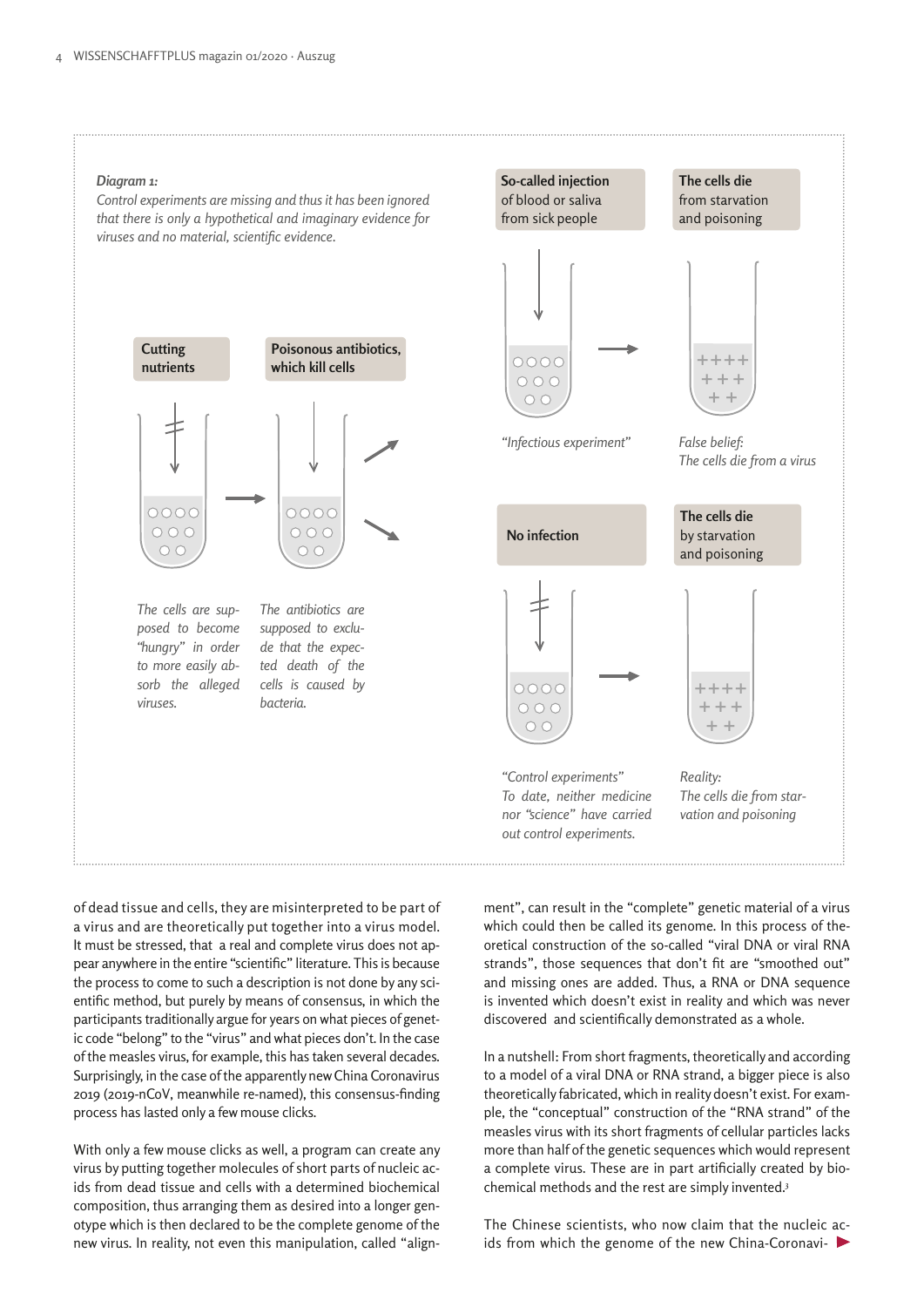#### *Diagram 1:*

*Control experiments are missing and thus it has been ignored that there is only a hypothetical and imaginary evidence for viruses and no material, scientific evidence.*





of dead tissue and cells, they are misinterpreted to be part of a virus and are theoretically put together into a virus model. It must be stressed, that a real and complete virus does not appear anywhere in the entire "scientific" literature. This is because the process to come to such a description is not done by any scientific method, but purely by means of consensus, in which the participants traditionally argue for years on what pieces of genetic code "belong" to the "virus" and what pieces don't. In the case of the measles virus, for example, this has taken several decades. Surprisingly, in the case of the apparently new China Coronavirus 2019 (2019-nCoV, meanwhile re-named), this consensus-finding process has lasted only a few mouse clicks.

With only a few mouse clicks as well, a program can create any virus by putting together molecules of short parts of nucleic acids from dead tissue and cells with a determined biochemical composition, thus arranging them as desired into a longer genotype which is then declared to be the complete genome of the new virus. In reality, not even this manipulation, called "alignment", can result in the "complete" genetic material of a virus which could then be called its genome. In this process of theoretical construction of the so-called "viral DNA or viral RNA strands", those sequences that don't fit are "smoothed out" and missing ones are added. Thus, a RNA or DNA sequence is invented which doesn't exist in reality and which was never discovered and scientifically demonstrated as a whole.

In a nutshell: From short fragments, theoretically and according to a model of a viral DNA or RNA strand, a bigger piece is also theoretically fabricated, which in reality doesn't exist. For example, the "conceptual" construction of the "RNA strand" of the measles virus with its short fragments of cellular particles lacks more than half of the genetic sequences which would represent a complete virus. These are in part artificially created by biochemical methods and the rest are simply invented.<sup>3</sup>

The Chinese scientists, who now claim that the nucleic acids from which the genome of the new China-Coronavi-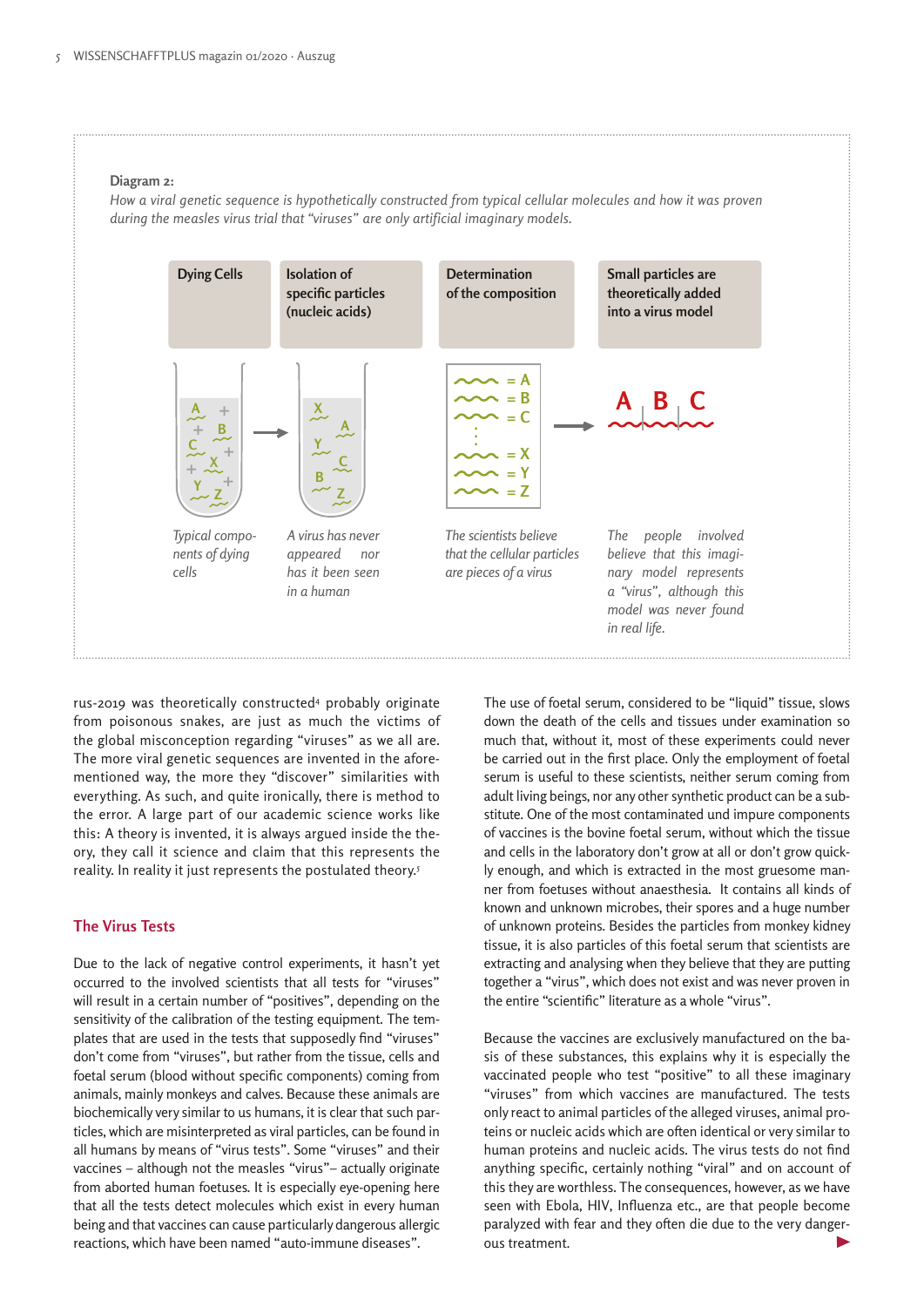#### **Diagram 2:**

*How a viral genetic sequence is hypothetically constructed from typical cellular molecules and how it was proven during the measles virus trial that "viruses" are only artificial imaginary models.*

![](_page_4_Figure_3.jpeg)

rus-2019 was theoretically constructed4 probably originate from poisonous snakes, are just as much the victims of the global misconception regarding "viruses" as we all are. The more viral genetic sequences are invented in the aforementioned way, the more they "discover" similarities with everything. As such, and quite ironically, there is method to the error. A large part of our academic science works like this: A theory is invented, it is always argued inside the theory, they call it science and claim that this represents the reality. In reality it just represents the postulated theory.<sup>5</sup>

#### **The Virus Tests**

Due to the lack of negative control experiments, it hasn't yet occurred to the involved scientists that all tests for "viruses" will result in a certain number of "positives", depending on the sensitivity of the calibration of the testing equipment. The templates that are used in the tests that supposedly find "viruses" don't come from "viruses", but rather from the tissue, cells and foetal serum (blood without specific components) coming from animals, mainly monkeys and calves. Because these animals are biochemically very similar to us humans, it is clear that such particles, which are misinterpreted as viral particles, can be found in all humans by means of "virus tests". Some "viruses" and their vaccines – although not the measles "virus"– actually originate from aborted human foetuses. It is especially eye-opening here that all the tests detect molecules which exist in every human being and that vaccines can cause particularly dangerous allergic reactions, which have been named "auto-immune diseases".

The use of foetal serum, considered to be "liquid" tissue, slows down the death of the cells and tissues under examination so much that, without it, most of these experiments could never be carried out in the first place. Only the employment of foetal serum is useful to these scientists, neither serum coming from adult living beings, nor any other synthetic product can be a substitute. One of the most contaminated und impure components of vaccines is the bovine foetal serum, without which the tissue and cells in the laboratory don't grow at all or don't grow quickly enough, and which is extracted in the most gruesome manner from foetuses without anaesthesia. It contains all kinds of known and unknown microbes, their spores and a huge number of unknown proteins. Besides the particles from monkey kidney tissue, it is also particles of this foetal serum that scientists are extracting and analysing when they believe that they are putting together a "virus", which does not exist and was never proven in the entire "scientific" literature as a whole "virus".

Because the vaccines are exclusively manufactured on the basis of these substances, this explains why it is especially the vaccinated people who test "positive" to all these imaginary "viruses" from which vaccines are manufactured. The tests only react to animal particles of the alleged viruses, animal proteins or nucleic acids which are often identical or very similar to human proteins and nucleic acids. The virus tests do not find anything specific, certainly nothing "viral" and on account of this they are worthless. The consequences, however, as we have seen with Ebola, HIV, Influenza etc., are that people become paralyzed with fear and they often die due to the very dangerous treatment.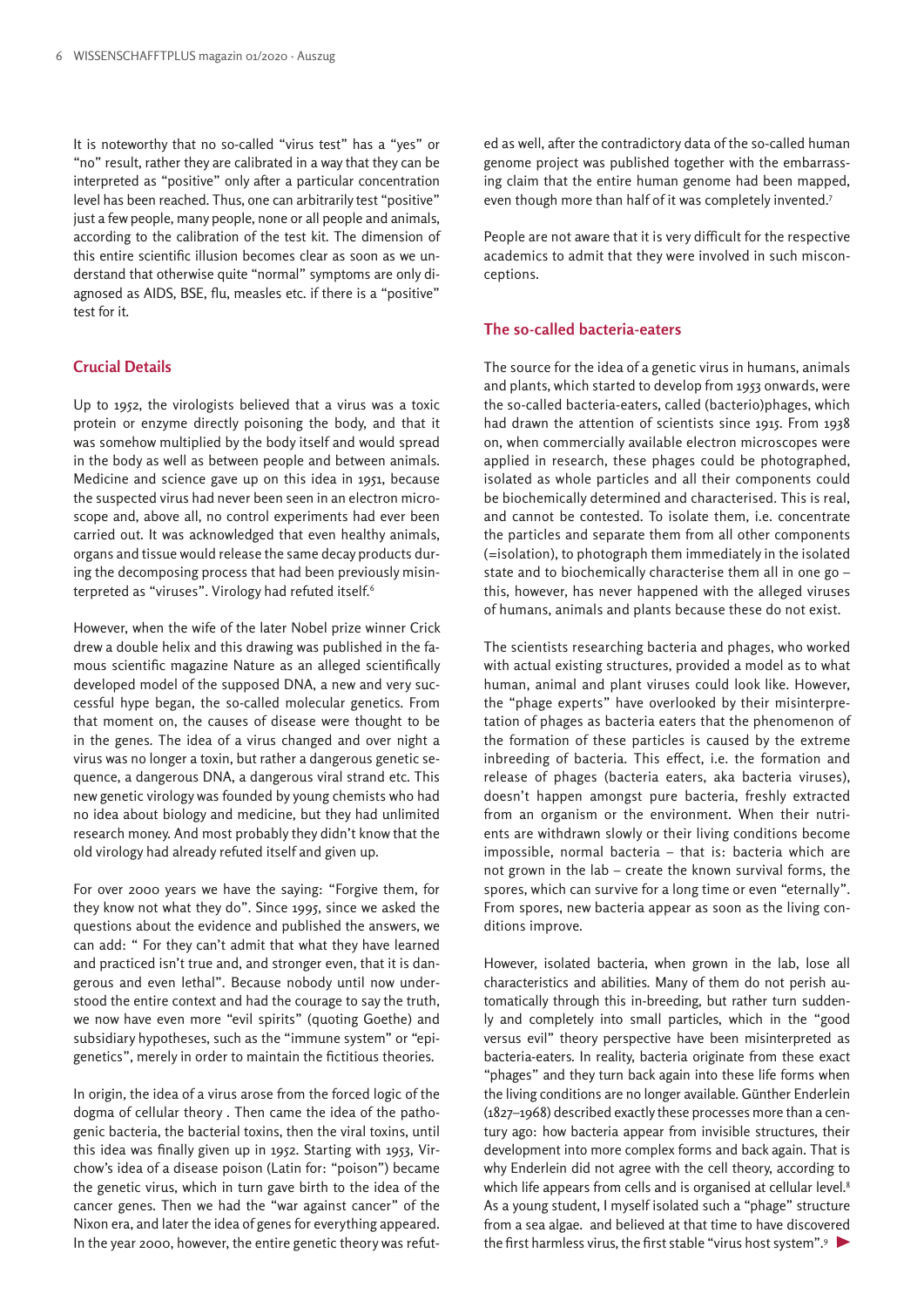It is noteworthy that no so-called "virus test" has a "yes" or "no" result, rather they are calibrated in a way that they can be interpreted as "positive" only after a particular concentration level has been reached. Thus, one can arbitrarily test "positive" just a few people, many people, none or all people and animals, according to the calibration of the test kit. The dimension of this entire scientific illusion becomes clear as soon as we understand that otherwise quite "normal" symptoms are only diagnosed as AIDS, BSE, flu, measles etc. if there is a "positive" test for it.

#### **Crucial Details**

Up to 1952, the virologists believed that a virus was a toxic protein or enzyme directly poisoning the body, and that it was somehow multiplied by the body itself and would spread in the body as well as between people and between animals. Medicine and science gave up on this idea in 1951, because the suspected virus had never been seen in an electron microscope and, above all, no control experiments had ever been carried out. It was acknowledged that even healthy animals, organs and tissue would release the same decay products during the decomposing process that had been previously misinterpreted as "viruses". Virology had refuted itself.<sup>6</sup>

However, when the wife of the later Nobel prize winner Crick drew a double helix and this drawing was published in the famous scientific magazine Nature as an alleged scientifically developed model of the supposed DNA, a new and very successful hype began, the so-called molecular genetics. From that moment on, the causes of disease were thought to be in the genes. The idea of a virus changed and over night a virus was no longer a toxin, but rather a dangerous genetic sequence, a dangerous DNA, a dangerous viral strand etc. This new genetic virology was founded by young chemists who had no idea about biology and medicine, but they had unlimited research money. And most probably they didn't know that the old virology had already refuted itself and given up.

For over 2000 years we have the saying: "Forgive them, for they know not what they do". Since 1995, since we asked the questions about the evidence and published the answers, we can add: " For they can't admit that what they have learned and practiced isn't true and, and stronger even, that it is dangerous and even lethal". Because nobody until now understood the entire context and had the courage to say the truth, we now have even more "evil spirits" (quoting Goethe) and subsidiary hypotheses, such as the "immune system" or "epigenetics", merely in order to maintain the fictitious theories.

In origin, the idea of a virus arose from the forced logic of the dogma of cellular theory . Then came the idea of the pathogenic bacteria, the bacterial toxins, then the viral toxins, until this idea was finally given up in 1952. Starting with 1953, Virchow's idea of a disease poison (Latin for: "poison") became the genetic virus, which in turn gave birth to the idea of the cancer genes. Then we had the "war against cancer" of the Nixon era, and later the idea of genes for everything appeared. In the year 2000, however, the entire genetic theory was refuted as well, after the contradictory data of the so-called human genome project was published together with the embarrassing claim that the entire human genome had been mapped, even though more than half of it was completely invented.7

People are not aware that it is very difficult for the respective academics to admit that they were involved in such misconceptions.

#### **The so-called bacteria-eaters**

The source for the idea of a genetic virus in humans, animals and plants, which started to develop from 1953 onwards, were the so-called bacteria-eaters, called (bacterio)phages, which had drawn the attention of scientists since 1915. From 1938 on, when commercially available electron microscopes were applied in research, these phages could be photographed, isolated as whole particles and all their components could be biochemically determined and characterised. This is real, and cannot be contested. To isolate them, i.e. concentrate the particles and separate them from all other components (=isolation), to photograph them immediately in the isolated state and to biochemically characterise them all in one go – this, however, has never happened with the alleged viruses of humans, animals and plants because these do not exist.

The scientists researching bacteria and phages, who worked with actual existing structures, provided a model as to what human, animal and plant viruses could look like. However, the "phage experts" have overlooked by their misinterpretation of phages as bacteria eaters that the phenomenon of the formation of these particles is caused by the extreme inbreeding of bacteria. This effect, i.e. the formation and release of phages (bacteria eaters, aka bacteria viruses), doesn't happen amongst pure bacteria, freshly extracted from an organism or the environment. When their nutrients are withdrawn slowly or their living conditions become impossible, normal bacteria – that is: bacteria which are not grown in the lab – create the known survival forms, the spores, which can survive for a long time or even "eternally". From spores, new bacteria appear as soon as the living conditions improve.

However, isolated bacteria, when grown in the lab, lose all characteristics and abilities. Many of them do not perish automatically through this in-breeding, but rather turn suddenly and completely into small particles, which in the "good versus evil" theory perspective have been misinterpreted as bacteria-eaters. In reality, bacteria originate from these exact "phages" and they turn back again into these life forms when the living conditions are no longer available. Günther Enderlein (1827–1968) described exactly these processes more than a century ago: how bacteria appear from invisible structures, their development into more complex forms and back again. That is why Enderlein did not agree with the cell theory, according to which life appears from cells and is organised at cellular level.<sup>8</sup> As a young student, I myself isolated such a "phage" structure from a sea algae. and believed at that time to have discovered the first harmless virus, the first stable "virus host system".9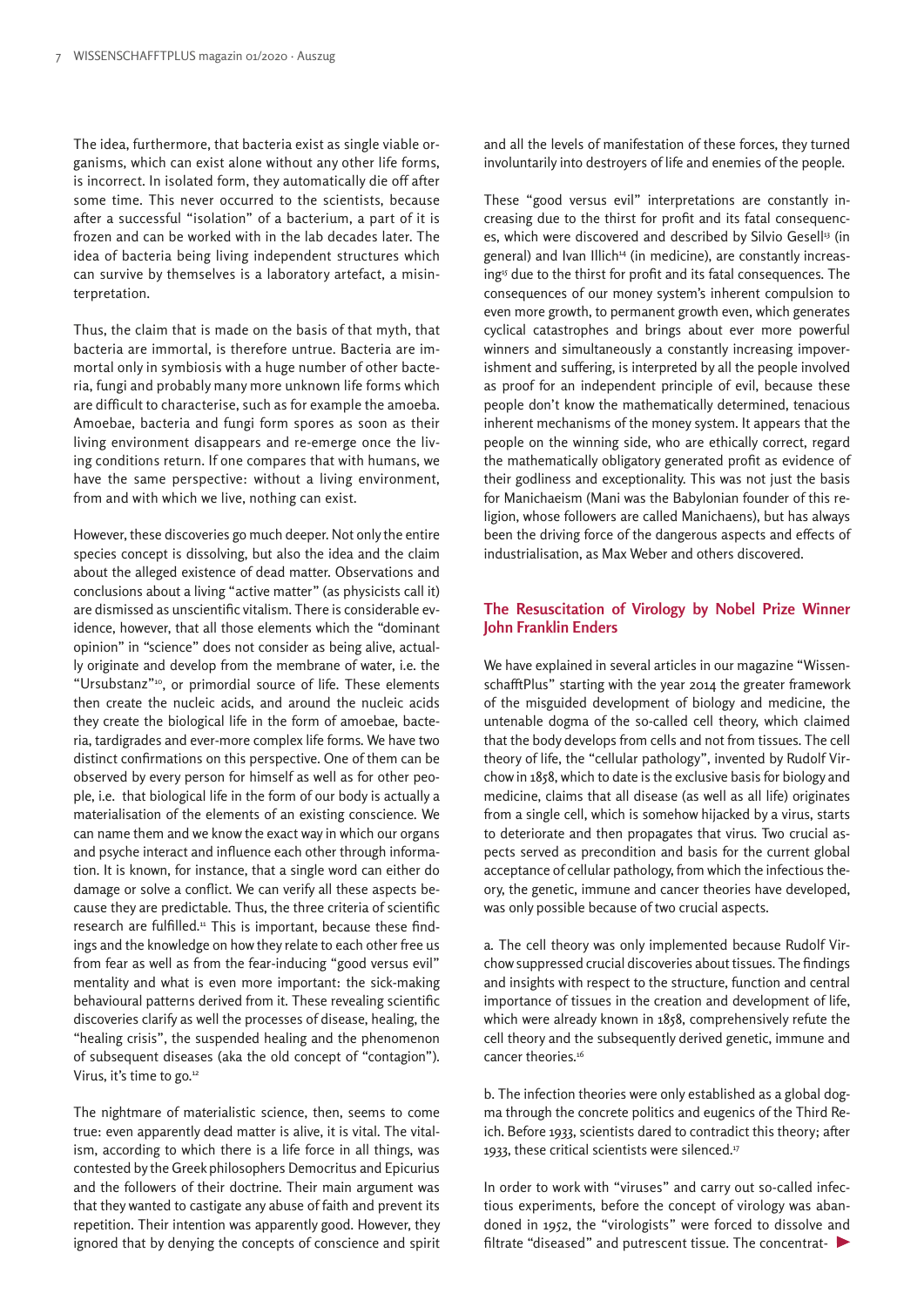The idea, furthermore, that bacteria exist as single viable organisms, which can exist alone without any other life forms, is incorrect. In isolated form, they automatically die off after some time. This never occurred to the scientists, because after a successful "isolation" of a bacterium, a part of it is frozen and can be worked with in the lab decades later. The idea of bacteria being living independent structures which can survive by themselves is a laboratory artefact, a misinterpretation.

Thus, the claim that is made on the basis of that myth, that bacteria are immortal, is therefore untrue. Bacteria are immortal only in symbiosis with a huge number of other bacteria, fungi and probably many more unknown life forms which are difficult to characterise, such as for example the amoeba. Amoebae, bacteria and fungi form spores as soon as their living environment disappears and re-emerge once the living conditions return. If one compares that with humans, we have the same perspective: without a living environment, from and with which we live, nothing can exist.

However, these discoveries go much deeper. Not only the entire species concept is dissolving, but also the idea and the claim about the alleged existence of dead matter. Observations and conclusions about a living "active matter" (as physicists call it) are dismissed as unscientific vitalism. There is considerable evidence, however, that all those elements which the "dominant opinion" in "science" does not consider as being alive, actually originate and develop from the membrane of water, i.e. the "Ursubstanz"10, or primordial source of life. These elements then create the nucleic acids, and around the nucleic acids they create the biological life in the form of amoebae, bacteria, tardigrades and ever-more complex life forms. We have two distinct confirmations on this perspective. One of them can be observed by every person for himself as well as for other people, i.e. that biological life in the form of our body is actually a materialisation of the elements of an existing conscience. We can name them and we know the exact way in which our organs and psyche interact and influence each other through information. It is known, for instance, that a single word can either do damage or solve a conflict. We can verify all these aspects because they are predictable. Thus, the three criteria of scientific research are fulfilled.<sup>11</sup> This is important, because these findings and the knowledge on how they relate to each other free us from fear as well as from the fear-inducing "good versus evil" mentality and what is even more important: the sick-making behavioural patterns derived from it. These revealing scientific discoveries clarify as well the processes of disease, healing, the "healing crisis", the suspended healing and the phenomenon of subsequent diseases (aka the old concept of "contagion"). Virus, it's time to go.<sup>12</sup>

The nightmare of materialistic science, then, seems to come true: even apparently dead matter is alive, it is vital. The vitalism, according to which there is a life force in all things, was contested by the Greek philosophers Democritus and Epicurius and the followers of their doctrine. Their main argument was that they wanted to castigate any abuse of faith and prevent its repetition. Their intention was apparently good. However, they ignored that by denying the concepts of conscience and spirit and all the levels of manifestation of these forces, they turned involuntarily into destroyers of life and enemies of the people.

These "good versus evil" interpretations are constantly increasing due to the thirst for profit and its fatal consequences, which were discovered and described by Silvio Gesell<sup>13</sup> (in general) and Ivan Illich<sup>14</sup> (in medicine), are constantly increasing<sup>15</sup> due to the thirst for profit and its fatal consequences. The consequences of our money system's inherent compulsion to even more growth, to permanent growth even, which generates cyclical catastrophes and brings about ever more powerful winners and simultaneously a constantly increasing impoverishment and suffering, is interpreted by all the people involved as proof for an independent principle of evil, because these people don't know the mathematically determined, tenacious inherent mechanisms of the money system. It appears that the people on the winning side, who are ethically correct, regard the mathematically obligatory generated profit as evidence of their godliness and exceptionality. This was not just the basis for Manichaeism (Mani was the Babylonian founder of this religion, whose followers are called Manichaens), but has always been the driving force of the dangerous aspects and effects of industrialisation, as Max Weber and others discovered.

#### **The Resuscitation of Virology by Nobel Prize Winner John Franklin Enders**

We have explained in several articles in our magazine "WissenschafftPlus" starting with the year 2014 the greater framework of the misguided development of biology and medicine, the untenable dogma of the so-called cell theory, which claimed that the body develops from cells and not from tissues. The cell theory of life, the "cellular pathology", invented by Rudolf Virchow in 1858, which to date is the exclusive basis for biology and medicine, claims that all disease (as well as all life) originates from a single cell, which is somehow hijacked by a virus, starts to deteriorate and then propagates that virus. Two crucial aspects served as precondition and basis for the current global acceptance of cellular pathology, from which the infectious theory, the genetic, immune and cancer theories have developed, was only possible because of two crucial aspects.

a. The cell theory was only implemented because Rudolf Virchow suppressed crucial discoveries about tissues. The findings and insights with respect to the structure, function and central importance of tissues in the creation and development of life, which were already known in 1858, comprehensively refute the cell theory and the subsequently derived genetic, immune and cancer theories.<sup>16</sup>

b. The infection theories were only established as a global dogma through the concrete politics and eugenics of the Third Reich. Before 1933, scientists dared to contradict this theory; after 1933, these critical scientists were silenced.<sup>17</sup>

In order to work with "viruses" and carry out so-called infectious experiments, before the concept of virology was abandoned in 1952, the "virologists" were forced to dissolve and filtrate "diseased" and putrescent tissue. The concentrat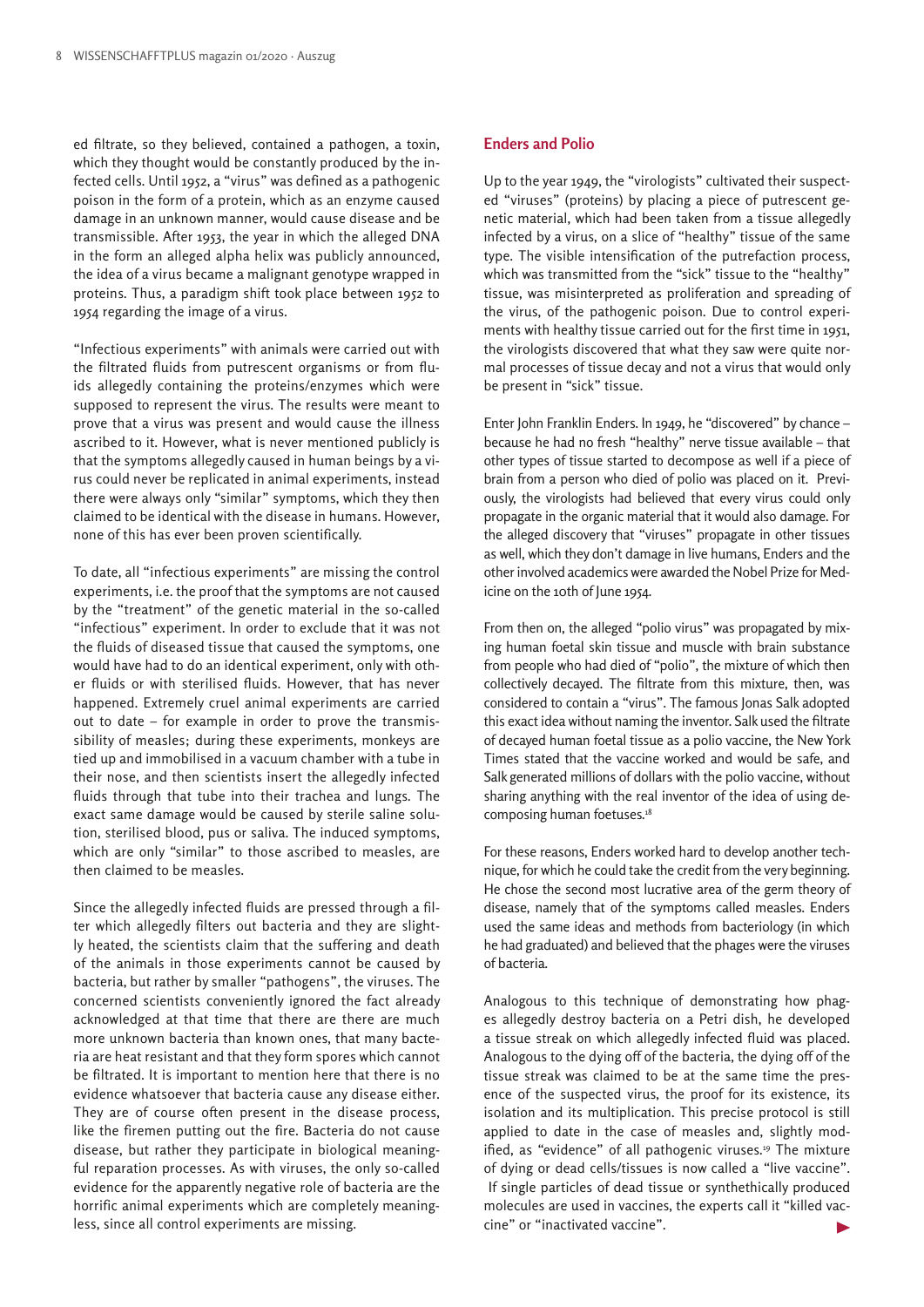ed filtrate, so they believed, contained a pathogen, a toxin, which they thought would be constantly produced by the infected cells. Until 1952, a "virus" was defined as a pathogenic poison in the form of a protein, which as an enzyme caused damage in an unknown manner, would cause disease and be transmissible. After 1953, the year in which the alleged DNA in the form an alleged alpha helix was publicly announced, the idea of a virus became a malignant genotype wrapped in proteins. Thus, a paradigm shift took place between 1952 to 1954 regarding the image of a virus.

"Infectious experiments" with animals were carried out with the filtrated fluids from putrescent organisms or from fluids allegedly containing the proteins/enzymes which were supposed to represent the virus. The results were meant to prove that a virus was present and would cause the illness ascribed to it. However, what is never mentioned publicly is that the symptoms allegedly caused in human beings by a virus could never be replicated in animal experiments, instead there were always only "similar" symptoms, which they then claimed to be identical with the disease in humans. However, none of this has ever been proven scientifically.

To date, all "infectious experiments" are missing the control experiments, i.e. the proof that the symptoms are not caused by the "treatment" of the genetic material in the so-called "infectious" experiment. In order to exclude that it was not the fluids of diseased tissue that caused the symptoms, one would have had to do an identical experiment, only with other fluids or with sterilised fluids. However, that has never happened. Extremely cruel animal experiments are carried out to date – for example in order to prove the transmissibility of measles; during these experiments, monkeys are tied up and immobilised in a vacuum chamber with a tube in their nose, and then scientists insert the allegedly infected fluids through that tube into their trachea and lungs. The exact same damage would be caused by sterile saline solution, sterilised blood, pus or saliva. The induced symptoms, which are only "similar" to those ascribed to measles, are then claimed to be measles.

Since the allegedly infected fluids are pressed through a filter which allegedly filters out bacteria and they are slightly heated, the scientists claim that the suffering and death of the animals in those experiments cannot be caused by bacteria, but rather by smaller "pathogens", the viruses. The concerned scientists conveniently ignored the fact already acknowledged at that time that there are there are much more unknown bacteria than known ones, that many bacteria are heat resistant and that they form spores which cannot be filtrated. It is important to mention here that there is no evidence whatsoever that bacteria cause any disease either. They are of course often present in the disease process, like the firemen putting out the fire. Bacteria do not cause disease, but rather they participate in biological meaningful reparation processes. As with viruses, the only so-called evidence for the apparently negative role of bacteria are the horrific animal experiments which are completely meaningless, since all control experiments are missing.

#### **Enders and Polio**

Up to the year 1949, the "virologists" cultivated their suspected "viruses" (proteins) by placing a piece of putrescent genetic material, which had been taken from a tissue allegedly infected by a virus, on a slice of "healthy" tissue of the same type. The visible intensification of the putrefaction process, which was transmitted from the "sick" tissue to the "healthy" tissue, was misinterpreted as proliferation and spreading of the virus, of the pathogenic poison. Due to control experiments with healthy tissue carried out for the first time in 1951, the virologists discovered that what they saw were quite normal processes of tissue decay and not a virus that would only be present in "sick" tissue.

Enter John Franklin Enders. In 1949, he "discovered" by chance – because he had no fresh "healthy" nerve tissue available – that other types of tissue started to decompose as well if a piece of brain from a person who died of polio was placed on it. Previously, the virologists had believed that every virus could only propagate in the organic material that it would also damage. For the alleged discovery that "viruses" propagate in other tissues as well, which they don't damage in live humans, Enders and the other involved academics were awarded the Nobel Prize for Medicine on the 10th of June 1954.

From then on, the alleged "polio virus" was propagated by mixing human foetal skin tissue and muscle with brain substance from people who had died of "polio", the mixture of which then collectively decayed. The filtrate from this mixture, then, was considered to contain a "virus". The famous Jonas Salk adopted this exact idea without naming the inventor. Salk used the filtrate of decayed human foetal tissue as a polio vaccine, the New York Times stated that the vaccine worked and would be safe, and Salk generated millions of dollars with the polio vaccine, without sharing anything with the real inventor of the idea of using decomposing human foetuses.<sup>18</sup>

For these reasons, Enders worked hard to develop another technique, for which he could take the credit from the very beginning. He chose the second most lucrative area of the germ theory of disease, namely that of the symptoms called measles. Enders used the same ideas and methods from bacteriology (in which he had graduated) and believed that the phages were the viruses of bacteria.

Analogous to this technique of demonstrating how phages allegedly destroy bacteria on a Petri dish, he developed a tissue streak on which allegedly infected fluid was placed. Analogous to the dying off of the bacteria, the dying off of the tissue streak was claimed to be at the same time the presence of the suspected virus, the proof for its existence, its isolation and its multiplication. This precise protocol is still applied to date in the case of measles and, slightly modified, as "evidence" of all pathogenic viruses.<sup>19</sup> The mixture of dying or dead cells/tissues is now called a "live vaccine". If single particles of dead tissue or synthethically produced molecules are used in vaccines, the experts call it "killed vaccine" or "inactivated vaccine".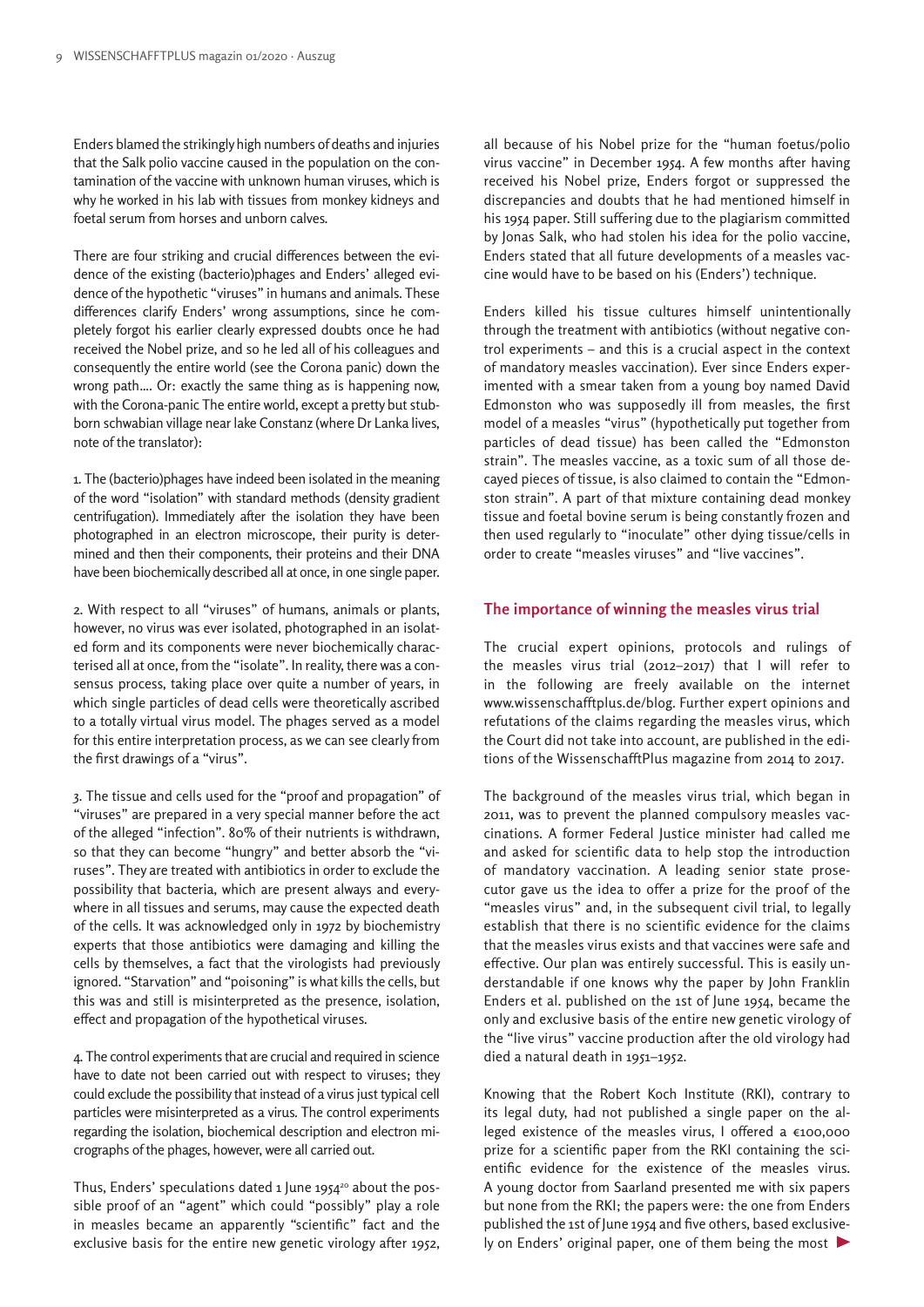Enders blamed the strikingly high numbers of deaths and injuries that the Salk polio vaccine caused in the population on the contamination of the vaccine with unknown human viruses, which is why he worked in his lab with tissues from monkey kidneys and foetal serum from horses and unborn calves.

There are four striking and crucial differences between the evidence of the existing (bacterio)phages and Enders' alleged evidence of the hypothetic "viruses" in humans and animals. These differences clarify Enders' wrong assumptions, since he completely forgot his earlier clearly expressed doubts once he had received the Nobel prize, and so he led all of his colleagues and consequently the entire world (see the Corona panic) down the wrong path…. Or: exactly the same thing as is happening now, with the Corona-panic The entire world, except a pretty but stubborn schwabian village near lake Constanz (where Dr Lanka lives, note of the translator):

1. The (bacterio)phages have indeed been isolated in the meaning of the word "isolation" with standard methods (density gradient centrifugation). Immediately after the isolation they have been photographed in an electron microscope, their purity is determined and then their components, their proteins and their DNA have been biochemically described all at once, in one single paper.

2. With respect to all "viruses" of humans, animals or plants, however, no virus was ever isolated, photographed in an isolated form and its components were never biochemically characterised all at once, from the "isolate". In reality, there was a consensus process, taking place over quite a number of years, in which single particles of dead cells were theoretically ascribed to a totally virtual virus model. The phages served as a model for this entire interpretation process, as we can see clearly from the first drawings of a "virus".

3. The tissue and cells used for the "proof and propagation" of "viruses" are prepared in a very special manner before the act of the alleged "infection". 80% of their nutrients is withdrawn, so that they can become "hungry" and better absorb the "viruses". They are treated with antibiotics in order to exclude the possibility that bacteria, which are present always and everywhere in all tissues and serums, may cause the expected death of the cells. It was acknowledged only in 1972 by biochemistry experts that those antibiotics were damaging and killing the cells by themselves, a fact that the virologists had previously ignored. "Starvation" and "poisoning" is what kills the cells, but this was and still is misinterpreted as the presence, isolation, effect and propagation of the hypothetical viruses.

4. The control experiments that are crucial and required in science have to date not been carried out with respect to viruses; they could exclude the possibility that instead of a virus just typical cell particles were misinterpreted as a virus. The control experiments regarding the isolation, biochemical description and electron micrographs of the phages, however, were all carried out.

Thus, Enders' speculations dated  $1$  lune  $1954^{20}$  about the possible proof of an "agent" which could "possibly" play a role in measles became an apparently "scientific" fact and the exclusive basis for the entire new genetic virology after 1952, all because of his Nobel prize for the "human foetus/polio virus vaccine" in December 1954. A few months after having received his Nobel prize, Enders forgot or suppressed the discrepancies and doubts that he had mentioned himself in his 1954 paper. Still suffering due to the plagiarism committed by Jonas Salk, who had stolen his idea for the polio vaccine, Enders stated that all future developments of a measles vaccine would have to be based on his (Enders') technique.

Enders killed his tissue cultures himself unintentionally through the treatment with antibiotics (without negative control experiments – and this is a crucial aspect in the context of mandatory measles vaccination). Ever since Enders experimented with a smear taken from a young boy named David Edmonston who was supposedly ill from measles, the first model of a measles "virus" (hypothetically put together from particles of dead tissue) has been called the "Edmonston strain". The measles vaccine, as a toxic sum of all those decayed pieces of tissue, is also claimed to contain the "Edmonston strain". A part of that mixture containing dead monkey tissue and foetal bovine serum is being constantly frozen and then used regularly to "inoculate" other dying tissue/cells in order to create "measles viruses" and "live vaccines".

#### **The importance of winning the measles virus trial**

The crucial expert opinions, protocols and rulings of the measles virus trial (2012–2017) that I will refer to in the following are freely available on the internet www.wissenschafftplus.de/blog. Further expert opinions and refutations of the claims regarding the measles virus, which the Court did not take into account, are published in the editions of the WissenschafftPlus magazine from 2014 to 2017.

The background of the measles virus trial, which began in 2011, was to prevent the planned compulsory measles vaccinations. A former Federal Justice minister had called me and asked for scientific data to help stop the introduction of mandatory vaccination. A leading senior state prosecutor gave us the idea to offer a prize for the proof of the "measles virus" and, in the subsequent civil trial, to legally establish that there is no scientific evidence for the claims that the measles virus exists and that vaccines were safe and effective. Our plan was entirely successful. This is easily understandable if one knows why the paper by John Franklin Enders et al. published on the 1st of June 1954, became the only and exclusive basis of the entire new genetic virology of the "live virus" vaccine production after the old virology had died a natural death in 1951–1952.

Knowing that the Robert Koch Institute (RKI), contrary to its legal duty, had not published a single paper on the alleged existence of the measles virus, I offered a €100,000 prize for a scientific paper from the RKI containing the scientific evidence for the existence of the measles virus. A young doctor from Saarland presented me with six papers but none from the RKI; the papers were: the one from Enders published the 1st of June 1954 and five others, based exclusively on Enders' original paper, one of them being the most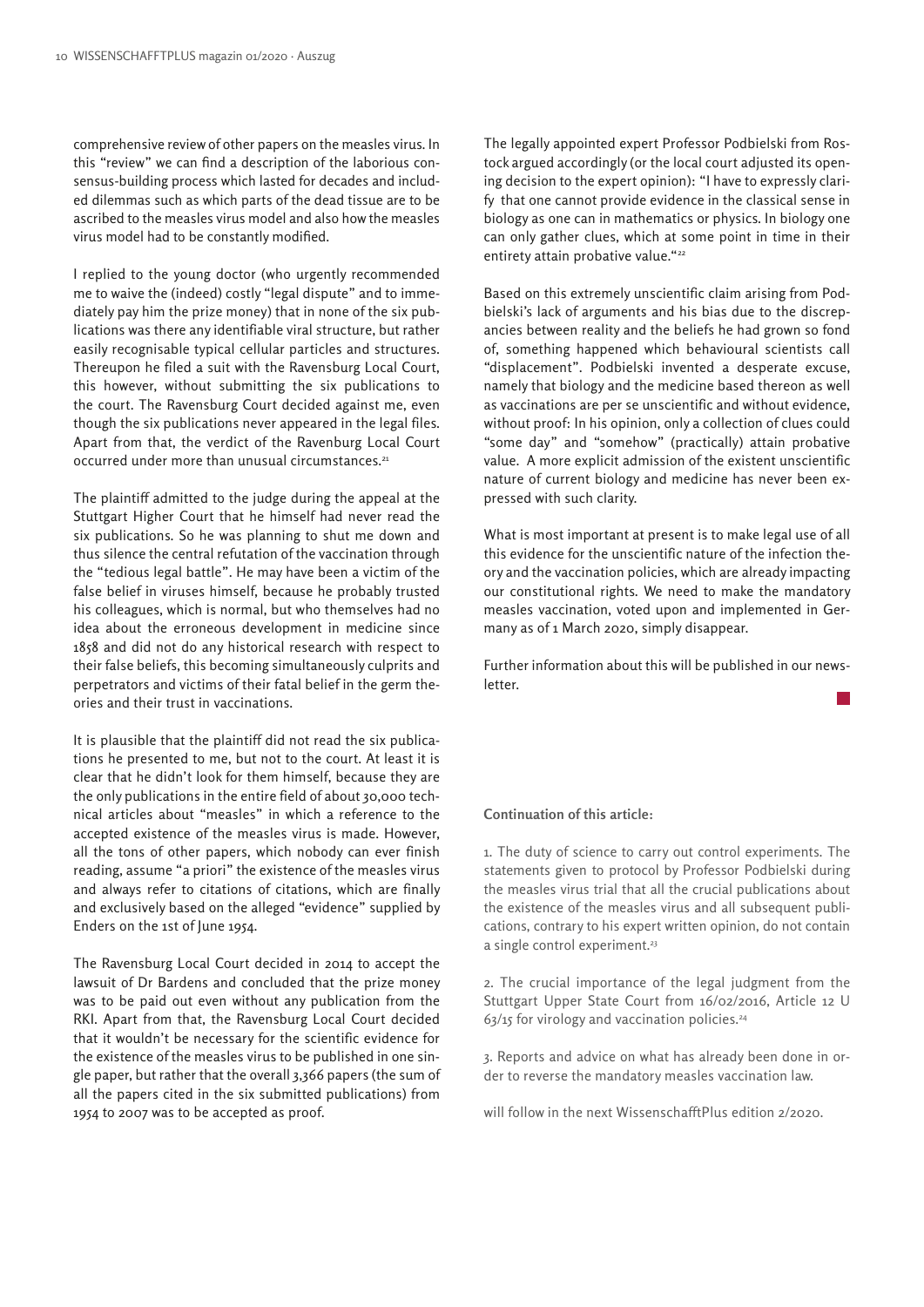comprehensive review of other papers on the measles virus. In this "review" we can find a description of the laborious consensus-building process which lasted for decades and included dilemmas such as which parts of the dead tissue are to be ascribed to the measles virus model and also how the measles virus model had to be constantly modified.

I replied to the young doctor (who urgently recommended me to waive the (indeed) costly "legal dispute" and to immediately pay him the prize money) that in none of the six publications was there any identifiable viral structure, but rather easily recognisable typical cellular particles and structures. Thereupon he filed a suit with the Ravensburg Local Court, this however, without submitting the six publications to the court. The Ravensburg Court decided against me, even though the six publications never appeared in the legal files. Apart from that, the verdict of the Ravenburg Local Court occurred under more than unusual circumstances.<sup>21</sup>

The plaintiff admitted to the judge during the appeal at the Stuttgart Higher Court that he himself had never read the six publications. So he was planning to shut me down and thus silence the central refutation of the vaccination through the "tedious legal battle". He may have been a victim of the false belief in viruses himself, because he probably trusted his colleagues, which is normal, but who themselves had no idea about the erroneous development in medicine since 1858 and did not do any historical research with respect to their false beliefs, this becoming simultaneously culprits and perpetrators and victims of their fatal belief in the germ theories and their trust in vaccinations.

It is plausible that the plaintiff did not read the six publications he presented to me, but not to the court. At least it is clear that he didn't look for them himself, because they are the only publications in the entire field of about 30,000 technical articles about "measles" in which a reference to the accepted existence of the measles virus is made. However, all the tons of other papers, which nobody can ever finish reading, assume "a priori" the existence of the measles virus and always refer to citations of citations, which are finally and exclusively based on the alleged "evidence" supplied by Enders on the 1st of June 1954.

The Ravensburg Local Court decided in 2014 to accept the lawsuit of Dr Bardens and concluded that the prize money was to be paid out even without any publication from the RKI. Apart from that, the Ravensburg Local Court decided that it wouldn't be necessary for the scientific evidence for the existence of the measles virus to be published in one single paper, but rather that the overall 3,366 papers (the sum of all the papers cited in the six submitted publications) from 1954 to 2007 was to be accepted as proof.

The legally appointed expert Professor Podbielski from Rostock argued accordingly (or the local court adjusted its opening decision to the expert opinion): "I have to expressly clarify that one cannot provide evidence in the classical sense in biology as one can in mathematics or physics. In biology one can only gather clues, which at some point in time in their entirety attain probative value."<sup>22</sup>

Based on this extremely unscientific claim arising from Podbielski's lack of arguments and his bias due to the discrepancies between reality and the beliefs he had grown so fond of, something happened which behavioural scientists call "displacement". Podbielski invented a desperate excuse, namely that biology and the medicine based thereon as well as vaccinations are per se unscientific and without evidence, without proof: In his opinion, only a collection of clues could "some day" and "somehow" (practically) attain probative value. A more explicit admission of the existent unscientific nature of current biology and medicine has never been expressed with such clarity.

What is most important at present is to make legal use of all this evidence for the unscientific nature of the infection theory and the vaccination policies, which are already impacting our constitutional rights. We need to make the mandatory measles vaccination, voted upon and implemented in Germany as of 1 March 2020, simply disappear.

Further information about this will be published in our newsletter.

#### **Continuation of this article:**

1. The duty of science to carry out control experiments. The statements given to protocol by Professor Podbielski during the measles virus trial that all the crucial publications about the existence of the measles virus and all subsequent publications, contrary to his expert written opinion, do not contain a single control experiment.<sup>23</sup>

2. The crucial importance of the legal judgment from the Stuttgart Upper State Court from 16/02/2016, Article 12 U  $63/15$  for virology and vaccination policies.<sup>24</sup>

3. Reports and advice on what has already been done in order to reverse the mandatory measles vaccination law.

will follow in the next WissenschafftPlus edition 2/2020.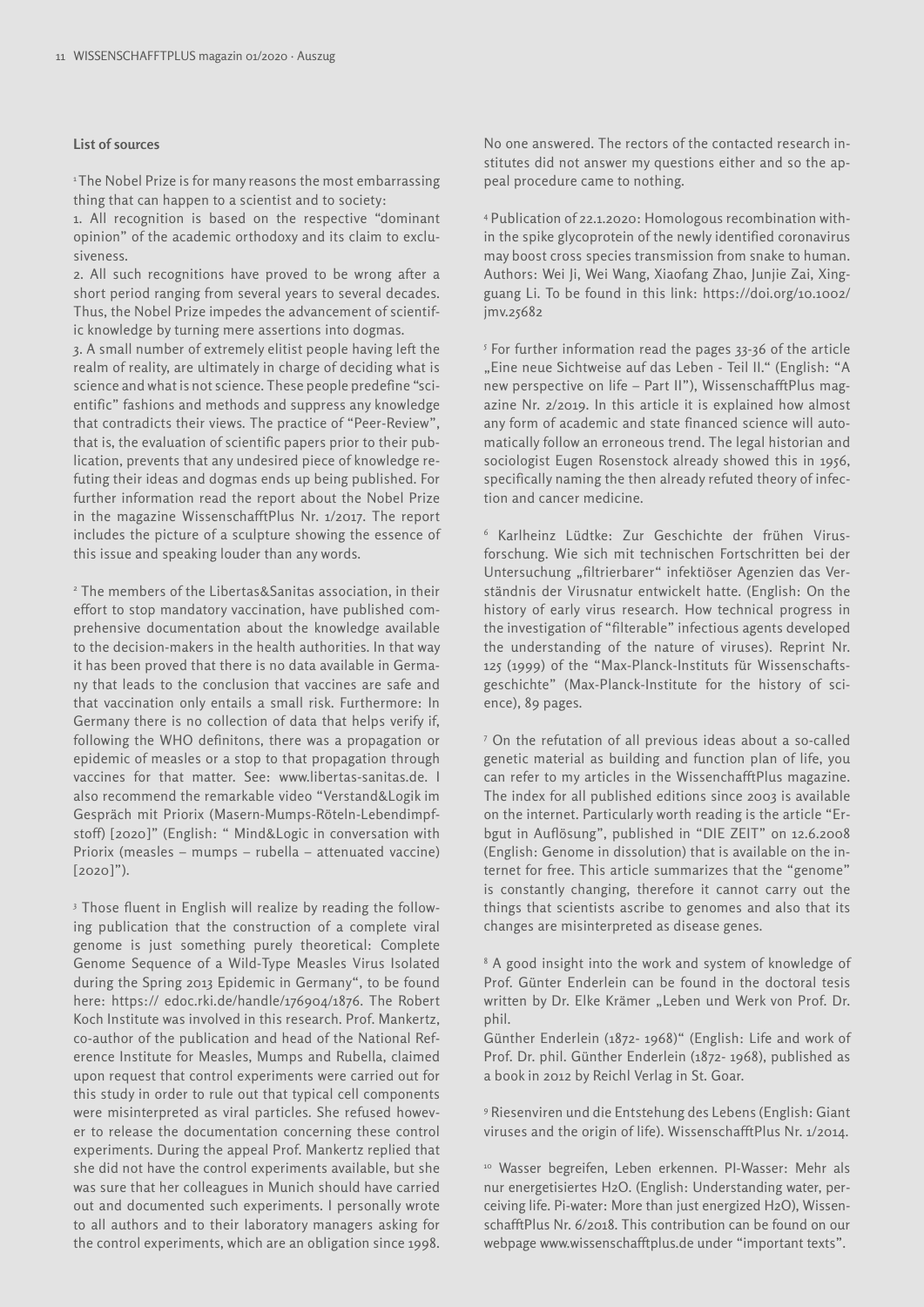#### **List of sources**

<sup>1</sup>The Nobel Prize is for many reasons the most embarrassing thing that can happen to a scientist and to society:

1. All recognition is based on the respective "dominant opinion" of the academic orthodoxy and its claim to exclusiveness.

2. All such recognitions have proved to be wrong after a short period ranging from several years to several decades. Thus, the Nobel Prize impedes the advancement of scientific knowledge by turning mere assertions into dogmas.

3. A small number of extremely elitist people having left the realm of reality, are ultimately in charge of deciding what is science and what is not science. These people predefine "scientific" fashions and methods and suppress any knowledge that contradicts their views. The practice of "Peer-Review", that is, the evaluation of scientific papers prior to their publication, prevents that any undesired piece of knowledge refuting their ideas and dogmas ends up being published. For further information read the report about the Nobel Prize in the magazine WissenschafftPlus Nr. 1/2017. The report includes the picture of a sculpture showing the essence of this issue and speaking louder than any words.

2 The members of the Libertas&Sanitas association, in their effort to stop mandatory vaccination, have published comprehensive documentation about the knowledge available to the decision-makers in the health authorities. In that way it has been proved that there is no data available in Germany that leads to the conclusion that vaccines are safe and that vaccination only entails a small risk. Furthermore: In Germany there is no collection of data that helps verify if, following the WHO definitons, there was a propagation or epidemic of measles or a stop to that propagation through vaccines for that matter. See: www.libertas-sanitas.de. I also recommend the remarkable video "Verstand&Logik im Gespräch mit Priorix (Masern-Mumps-Röteln-Lebendimpfstoff) [2020]" (English: " Mind&Logic in conversation with Priorix (measles – mumps – rubella – attenuated vaccine) [2020]").

3 Those fluent in English will realize by reading the following publication that the construction of a complete viral genome is just something purely theoretical: Complete Genome Sequence of a Wild-Type Measles Virus Isolated during the Spring 2013 Epidemic in Germany", to be found here: https:// edoc.rki.de/handle/176904/1876. The Robert Koch Institute was involved in this research. Prof. Mankertz, co-author of the publication and head of the National Reference Institute for Measles, Mumps and Rubella, claimed upon request that control experiments were carried out for this study in order to rule out that typical cell components were misinterpreted as viral particles. She refused however to release the documentation concerning these control experiments. During the appeal Prof. Mankertz replied that she did not have the control experiments available, but she was sure that her colleagues in Munich should have carried out and documented such experiments. I personally wrote to all authors and to their laboratory managers asking for the control experiments, which are an obligation since 1998. No one answered. The rectors of the contacted research institutes did not answer my questions either and so the appeal procedure came to nothing.

4 Publication of 22.1.2020: Homologous recombination within the spike glycoprotein of the newly identified coronavirus may boost cross species transmission from snake to human. Authors: Wei Ji, Wei Wang, Xiaofang Zhao, Junjie Zai, Xingguang Li. To be found in this link: https://doi.org/10.1002/ jmv.25682

 $5$  For further information read the pages 33-36 of the article "Eine neue Sichtweise auf das Leben - Teil II." (English: "A new perspective on life – Part II"), WissenschafftPlus magazine Nr. 2/2019. In this article it is explained how almost any form of academic and state financed science will automatically follow an erroneous trend. The legal historian and sociologist Eugen Rosenstock already showed this in 1956, specifically naming the then already refuted theory of infection and cancer medicine.

6 Karlheinz Lüdtke: Zur Geschichte der frühen Virusforschung. Wie sich mit technischen Fortschritten bei der Untersuchung "filtrierbarer" infektiöser Agenzien das Verständnis der Virusnatur entwickelt hatte. (English: On the history of early virus research. How technical progress in the investigation of "filterable" infectious agents developed the understanding of the nature of viruses). Reprint Nr. 125 (1999) of the "Max-Planck-Instituts für Wissenschaftsgeschichte" (Max-Planck-Institute for the history of science), 89 pages.

<sup>7</sup> On the refutation of all previous ideas about a so-called genetic material as building and function plan of life, you can refer to my articles in the WissenchafftPlus magazine. The index for all published editions since 2003 is available on the internet. Particularly worth reading is the article "Erbgut in Auflösung", published in "DIE ZEIT" on 12.6.2008 (English: Genome in dissolution) that is available on the internet for free. This article summarizes that the "genome" is constantly changing, therefore it cannot carry out the things that scientists ascribe to genomes and also that its changes are misinterpreted as disease genes.

8 A good insight into the work and system of knowledge of Prof. Günter Enderlein can be found in the doctoral tesis written by Dr. Elke Krämer "Leben und Werk von Prof. Dr. phil.

Günther Enderlein (1872- 1968)" (English: Life and work of Prof. Dr. phil. Günther Enderlein (1872- 1968), published as a book in 2012 by Reichl Verlag in St. Goar.

9 Riesenviren und die Entstehung des Lebens (English: Giant viruses and the origin of life). WissenschafftPlus Nr. 1/2014.

10 Wasser begreifen, Leben erkennen. PI-Wasser: Mehr als nur energetisiertes H2O. (English: Understanding water, perceiving life. Pi-water: More than just energized H2O), WissenschafftPlus Nr. 6/2018. This contribution can be found on our webpage www.wissenschafftplus.de under "important texts".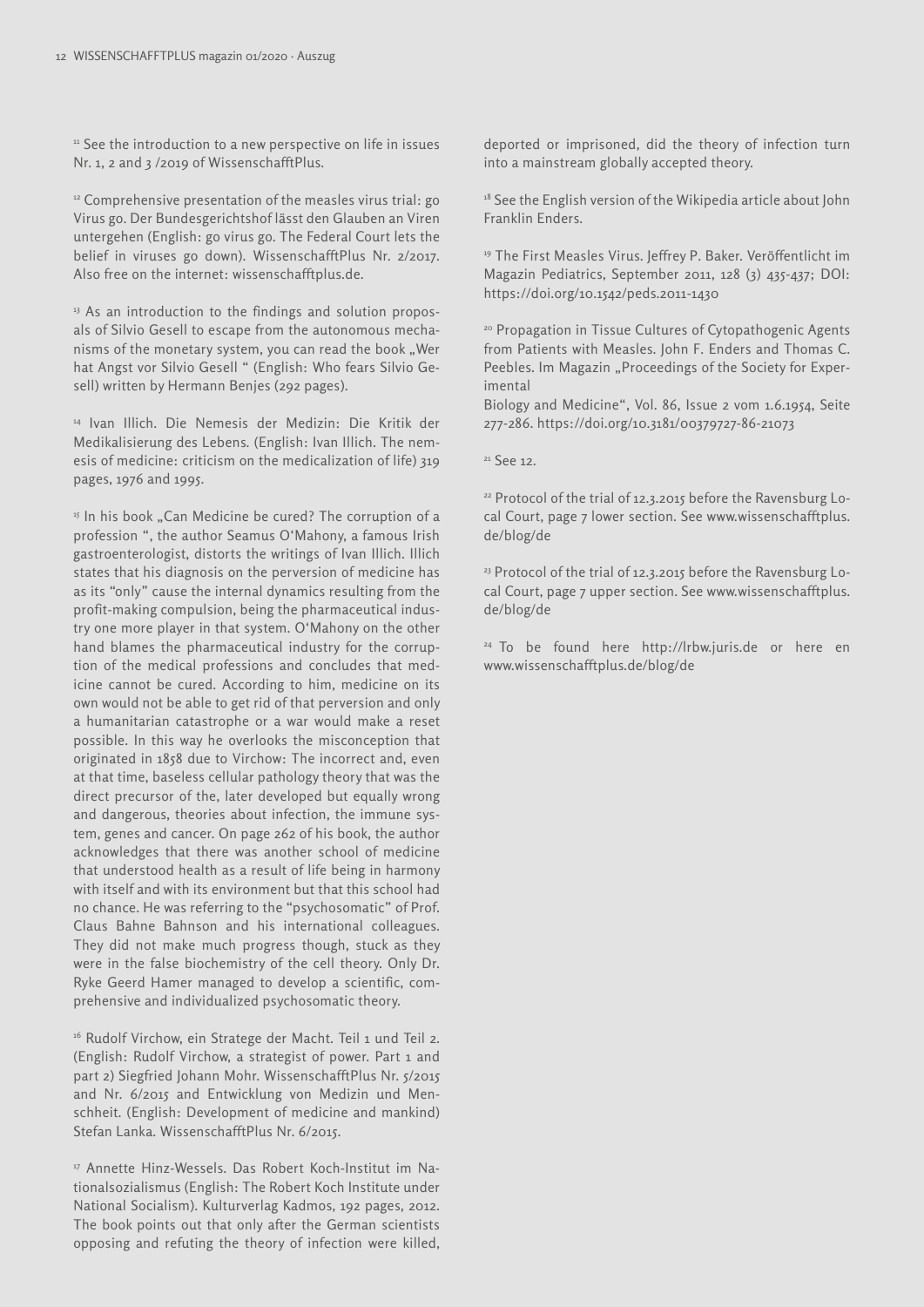<sup>11</sup> See the introduction to a new perspective on life in issues Nr. 1, 2 and 3 /2019 of WissenschafftPlus.

12 Comprehensive presentation of the measles virus trial: go Virus go. Der Bundesgerichtshof lässt den Glauben an Viren untergehen (English: go virus go. The Federal Court lets the belief in viruses go down). WissenschafftPlus Nr. 2/2017. Also free on the internet: wissenschafftplus.de.

<sup>13</sup> As an introduction to the findings and solution proposals of Silvio Gesell to escape from the autonomous mechanisms of the monetary system, you can read the book "Wer hat Angst vor Silvio Gesell " (English: Who fears Silvio Gesell) written by Hermann Benjes (292 pages).

<sup>14</sup> Ivan Illich. Die Nemesis der Medizin: Die Kritik der Medikalisierung des Lebens. (English: Ivan Illich. The nemesis of medicine: criticism on the medicalization of life) 319 pages, 1976 and 1995.

<sup>15</sup> In his book "Can Medicine be cured? The corruption of a profession ", the author Seamus O'Mahony, a famous Irish gastroenterologist, distorts the writings of Ivan Illich. Illich states that his diagnosis on the perversion of medicine has as its "only" cause the internal dynamics resulting from the profit-making compulsion, being the pharmaceutical industry one more player in that system. O'Mahony on the other hand blames the pharmaceutical industry for the corruption of the medical professions and concludes that medicine cannot be cured. According to him, medicine on its own would not be able to get rid of that perversion and only a humanitarian catastrophe or a war would make a reset possible. In this way he overlooks the misconception that originated in 1858 due to Virchow: The incorrect and, even at that time, baseless cellular pathology theory that was the direct precursor of the, later developed but equally wrong and dangerous, theories about infection, the immune system, genes and cancer. On page 262 of his book, the author acknowledges that there was another school of medicine that understood health as a result of life being in harmony with itself and with its environment but that this school had no chance. He was referring to the "psychosomatic" of Prof. Claus Bahne Bahnson and his international colleagues. They did not make much progress though, stuck as they were in the false biochemistry of the cell theory. Only Dr. Ryke Geerd Hamer managed to develop a scientific, comprehensive and individualized psychosomatic theory.

<sup>16</sup> Rudolf Virchow, ein Stratege der Macht. Teil 1 und Teil 2. (English: Rudolf Virchow, a strategist of power. Part 1 and part 2) Siegfried Johann Mohr. WissenschafftPlus Nr. 5/2015 and Nr. 6/2015 and Entwicklung von Medizin und Menschheit. (English: Development of medicine and mankind) Stefan Lanka. WissenschafftPlus Nr. 6/2015.

17 Annette Hinz-Wessels. Das Robert Koch-Institut im Nationalsozialismus (English: The Robert Koch Institute under National Socialism). Kulturverlag Kadmos, 192 pages, 2012. The book points out that only after the German scientists opposing and refuting the theory of infection were killed, deported or imprisoned, did the theory of infection turn into a mainstream globally accepted theory.

<sup>18</sup> See the English version of the Wikipedia article about John Franklin Enders.

<sup>19</sup> The First Measles Virus. Jeffrey P. Baker. Veröffentlicht im Magazin Pediatrics, September 2011, 128 (3) 435-437; DOI: https://doi.org/10.1542/peds.2011-1430

20 Propagation in Tissue Cultures of Cytopathogenic Agents from Patients with Measles. John F. Enders and Thomas C. Peebles. Im Magazin "Proceedings of the Society for Experimental

Biology and Medicine", Vol. 86, Issue 2 vom 1.6.1954, Seite 277-286. https://doi.org/10.3181/00379727-86-21073

<sup>21</sup> See 12.

<sup>22</sup> Protocol of the trial of 12.3.2015 before the Ravensburg Local Court, page 7 lower section. See www.wissenschafftplus. de/blog/de

<sup>23</sup> Protocol of the trial of 12.3.2015 before the Ravensburg Local Court, page 7 upper section. See www.wissenschafftplus. de/blog/de

<sup>24</sup>To be found here http://lrbw.juris.de or here en www.wissenschafftplus.de/blog/de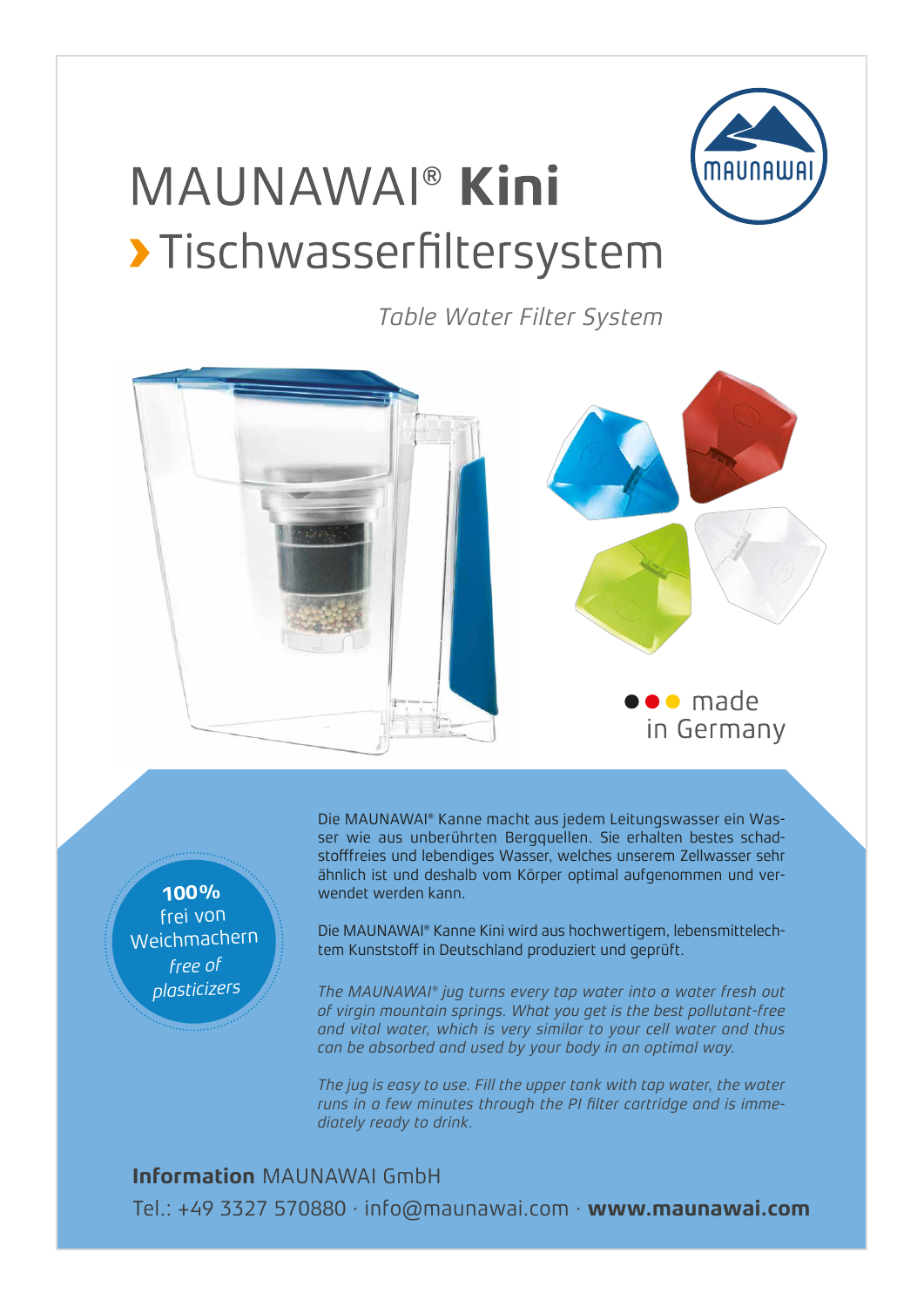### MAUNAWAI® Kini >Tischwasserfiltersystem

*Table Water Filter System*

![](_page_12_Picture_2.jpeg)

**100%**  frei von Weichmachern *free of plasticizers*

Die MAUNAWAI® Kanne macht aus jedem Leitungswasser ein Wasser wie aus unberührten Bergquellen. Sie erhalten bestes schadstofffreies und lebendiges Wasser, welches unserem Zellwasser sehr ähnlich ist und deshalb vom Körper optimal aufgenommen und verwendet werden kann.

Die Maunawai® Kanne Kini wird aus hochwertigem, lebensmittelechtem Kunststoff in Deutschland produziert und geprüft.

*The MAUNAWAI® jug turns every tap water into a water fresh out of virgin mountain springs. What you get is the best pollutant-free and vital water, which is very similar to your cell water and thus can be absorbed and used by your body in an optimal way.* 

*The jug is easy to use. Fill the upper tank with tap water, the water runs in a few minutes through the PI filter cartridge and is immediately ready to drink.*

**Information** MAUNAWAI GmbH Tel.: +49 3327 570880 · info@maunawai.com · **www.maunawai.com**